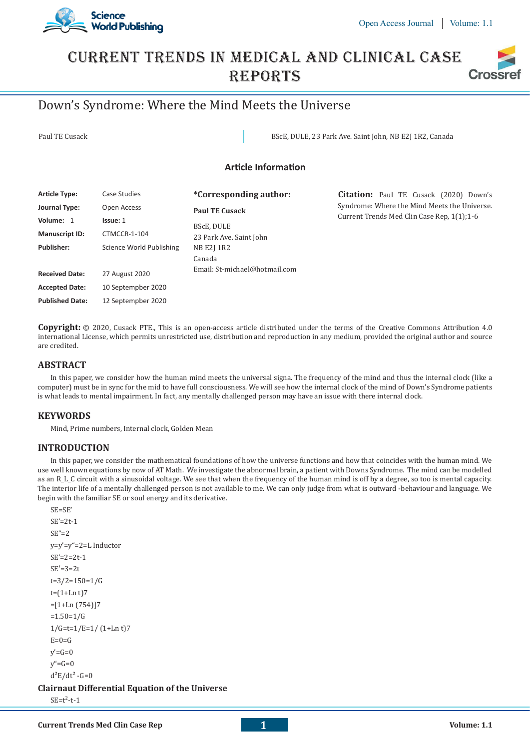

## Current Trends In Medical And Clinical Case **REPORTS Crossi**

# Down's Syndrome: Where the Mind Meets the Universe

Paul TE Cusack BScE, DULE, 23 Park Ave. Saint John, NB E2J 1R2, Canada

## **Article Information**

| Article Type:          | Case Studies             | <i>*Corresponding author:</i>                                  | <b>Citation:</b> Paul TE Cusack (2020) Down's                                              |
|------------------------|--------------------------|----------------------------------------------------------------|--------------------------------------------------------------------------------------------|
| Journal Type:          | Open Access              | <b>Paul TE Cusack</b><br>BScE, DULE<br>23 Park Ave. Saint John | Syndrome: Where the Mind Meets the Universe.<br>Current Trends Med Clin Case Rep. 1(1):1-6 |
| Volume: 1              | Issue: 1                 |                                                                |                                                                                            |
| <b>Manuscript ID:</b>  | CTMCCR-1-104             |                                                                |                                                                                            |
| <b>Publisher:</b>      | Science World Publishing | NB E2J 1R2                                                     |                                                                                            |
|                        |                          | Canada                                                         |                                                                                            |
| <b>Received Date:</b>  | 27 August 2020           | Email: St-michael@hotmail.com                                  |                                                                                            |
| <b>Accepted Date:</b>  | 10 Septempber 2020       |                                                                |                                                                                            |
| <b>Published Date:</b> | 12 Septempber 2020       |                                                                |                                                                                            |

**Copyright:** © 2020, Cusack PTE., This is an open-access article distributed under the terms of the Creative Commons Attribution 4.0 international License, which permits unrestricted use, distribution and reproduction in any medium, provided the original author and source are credited.

## **ABSTRACT**

In this paper, we consider how the human mind meets the universal signa. The frequency of the mind and thus the internal clock (like a computer) must be in sync for the mid to have full consciousness. We will see how the internal clock of the mind of Down's Syndrome patients is what leads to mental impairment. In fact, any mentally challenged person may have an issue with there internal clock.

## **KEYWORDS**

Mind, Prime numbers, Internal clock, Golden Mean

## **INTRODUCTION**

In this paper, we consider the mathematical foundations of how the universe functions and how that coincides with the human mind. We use well known equations by now of AT Math. We investigate the abnormal brain, a patient with Downs Syndrome. The mind can be modelled as an R\_L\_C circuit with a sinusoidal voltage. We see that when the frequency of the human mind is off by a degree, so too is mental capacity. The interior life of a mentally challenged person is not available to me. We can only judge from what is outward -behaviour and language. We begin with the familiar SE or soul energy and its derivative.

```
SE=SE'
SE'=2t-1
SE''=2y=y'=y"=2=L Inductor
SE'=2=2t-1
SE′=3=2t
t=3/2=150=1/G
t=(1+Ln t)7=[1+Ln(754)]7=1.50=1/G1/G=t=1/E=1/(1+Ln t)E=0=G
y'=G=0v''=G=0d^2E/dt^2 - G = 0Clairnaut Differential Equation of the Universe
SE=t^2-t-1
```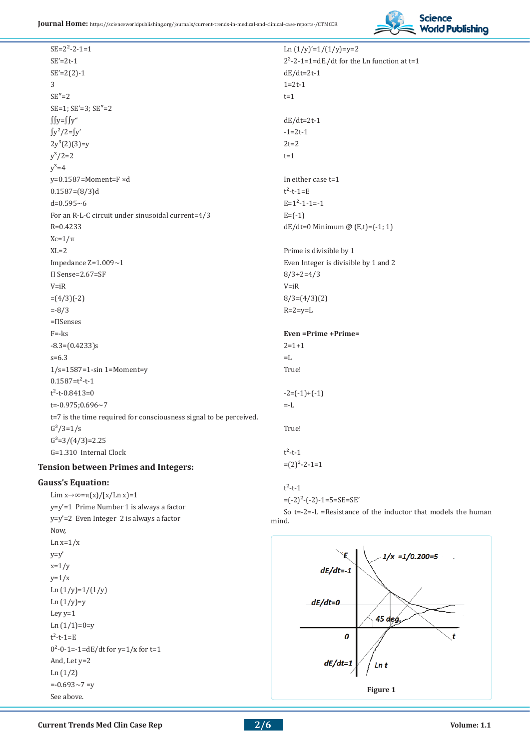

 $SE=2^2-2-1=1$  $SE'=2t-1$  $SE'=2(2)-1$ 3  $SE''=2$ SE=1; SE'=3; SE″=2 ∫∫y=∫∫y" ∫y²/2=∫y'  $2y^3(2)(3)=y$  $y^3/2=2$  $v^3 = 4$ y=0.1587=Moment=F ×d 0.1587=(8/3)d d=0.595~6 For an R-L-C circuit under sinusoidal current=4/3 R=0.4233 Xc=1/π  $XI = 2$ Impedance Z=1.009~1 Π Sense=2.67=SF  $V=iR$  $=(4/3)(-2)$ =-8/3 =ΠSenses F=-ks  $-8.3=(0.4233)s$ s=6.3 1/s=1587=1-sin 1=Moment=y  $0.1587 = t^2 - t - 1$  $t^2$ -t-0.8413=0  $t=-0.975;0.696-7$ t=7 is the time required for consciousness signal to be perceived.  $G^3/3=1/s$  $G^3=3/(4/3)=2.25$ G=1.310 Internal Clock

## **Tension between Primes and Integers:**

## **Gauss's Equation:**

Lim  $x \rightarrow \infty = \pi(x)/[x/Ln x]=1$ y=y'=1 Prime Number 1 is always a factor y=y'=2 Even Integer 2 is always a factor Now,  $Ln x=1/x$  $y=y'$  $x=1/y$  $y=1/x$ Ln  $(1/y)=1/(1/y)$ Ln  $(1/y)$ =y Ley y=1 Ln  $(1/1)=0=y$  $t^2-t-1=E$  $0^2$ -0-1=-1=dE/dt for y=1/x for t=1 And, Let y=2 Ln (1/2)  $=-0.693 - 7 = v$ See above. **Figure 1 Figure 1** 

Ln  $(1/y)'=1/(1/y)=y=2$  $2^2$ -2-1=1=dE./dt for the Ln function at t=1  $dE/dt=2t-1$ 1=2t-1  $t=1$ dE/dt=2t-1  $-1=2t-1$  $2t=2$  $t=1$ In either case t=1  $t^2-t-1=E$  $E=1^2-1-1=-1$  $E = (-1)$  $dE/dt = 0$  Minimum @  $(E,t) = (-1, 1)$ Prime is divisible by 1 Even Integer is divisible by 1 and 2 8/3÷2=4/3  $V=IR$  $8/3=(4/3)(2)$  $R=2=v=L$ **Even =Prime +Prime=**  $2=1+1$  $=$ L True!  $-2=(-1)+(-1)$ =-L True!  $t^2-t-1$  $=(2)^{2}-2-1=1$  $t^2-t-1$  $=(-2)^{2}-(-2)-1=5=SE=SE'$ So t=-2=-L =Resistance of the inductor that models the human



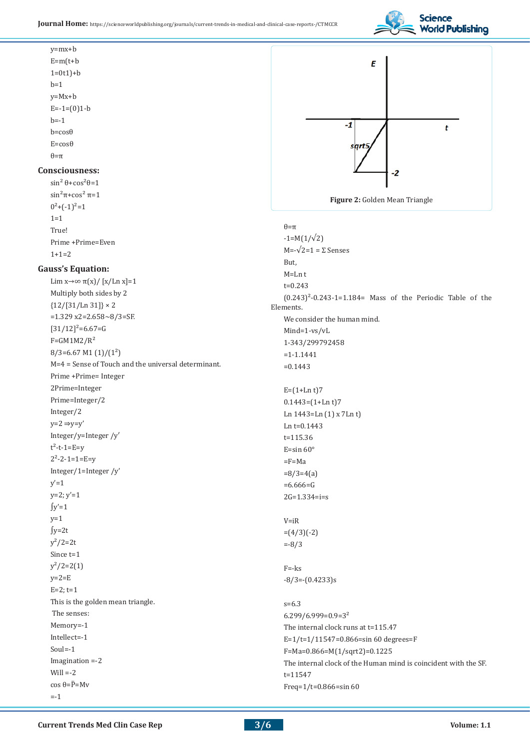

y=mx+b  $E=m(t+b)$  $1=0t1$ )+b  $b=1$ y=Mx+b  $E=-1=(0)1-b$  $b=-1$ b=cosθ  $E = \cos \theta$  $\theta = \pi$ 

## **Consciousness:**

 $sin^2 θ + cos^2 θ = 1$ sin<sup>2</sup>π+cos<sup>2</sup> π=1  $0^2$ +(-1)<sup>2</sup>=1  $1=1$ True! Prime +Prime=Even  $1+1=2$ 

#### **Gauss's Equation:**

Lim  $x \rightarrow \infty$   $\pi(x)/[x/Ln x]=1$ Multiply both sides by 2  ${12/[31/Ln 31]} \times 2$  $=1.329$  x2=2.658~8/3=SF.  $[31/12]^2$ =6.67=G  $F = GM1M2/R<sup>2</sup>$  $8/3=6.67$  M1  $(1)/(1^2)$ M=4 = Sense of Touch and the universal determinant. Prime +Prime= Integer 2Prime=Integer Prime=Integer/2 Integer/2  $y=2 \Rightarrow y=y'$ Integer/y=Integer /y′  $t^2-t-1=E=y$  $2^2 - 2 - 1 = 1 = E = y$ Integer/1=Integer /y'  $v'=1$  $y=2; y'=1$  $\int y'=1$  $y=1$ ∫y=2t  $v^2/2=2t$ Since t=1  $y^2/2=2(1)$  $y=2=E$  $E=2; t=1$ This is the golden mean triangle. The senses: Memory=-1 Intellect=-1 Soul=-1 Imagination =-2 Will  $=-2$ cos θ= $\overline{P}$ =Mν  $= -1$ 



θ=π

 $-1=M(1/\sqrt{2})$  $M=-\sqrt{2}=1=\Sigma$  Senses But, M=Ln t t=0.243  $(0.243)^2$ -0.243-1=1.184= Mass of the Periodic Table of the Elements. We consider the human mind. Mind=1-vs/vL 1-343/299792458 =1-1.1441  $=0.1443$  $E=(1+Ln t)7$  $0.1443 = (1 + \text{Ln } t)7$ Ln 1443=Ln (1) x 7Ln t) Ln  $t=0.1443$ t=115.36 E=sin  $60^\circ$ =F=Ma  $=8/3=4(a)$  $=6.666=$ G 2G=1.334=i=s  $V=IR$  $=(4/3)(-2)$ =-8/3 F=-ks -8/3=-(0.4233)s s=6.3 6.299/6.999=0.9=3² The internal clock runs at t=115.47 E=1/t=1/11547=0.866=sin 60 degrees=F F=Ma=0.866=M(1/sqrt2)=0.1225 The internal clock of the Human mind is coincident with the SF. t=11547 Freq=1/t=0.866=sin 60

**3/6**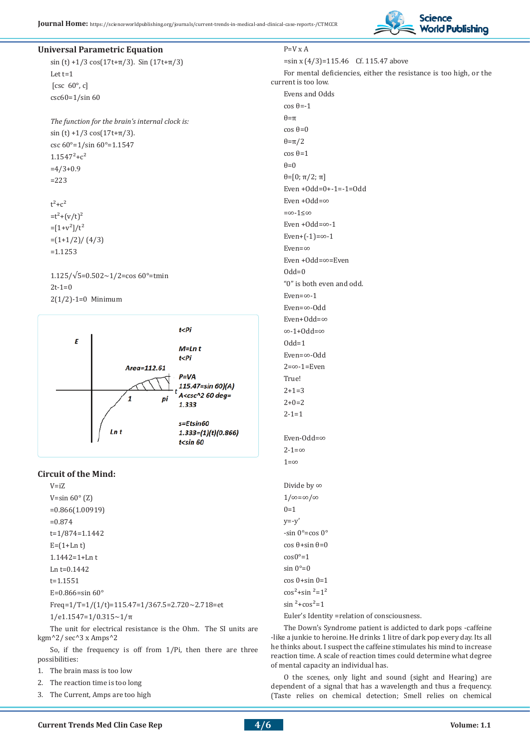

#### **Universal Parametric Equation**

sin (t) +1/3 cos(17t+ $\pi$ /3). Sin (17t+ $\pi$ /3) Let t=1 [csc  $60^\circ$ , c] csc60=1/sin 60

*The function for the brain's internal clock is:* sin (t) +1/3 cos(17t+ $\pi$ /3). csc 60°=1/sin 60°=1.1547  $1.1547^{2} + c^{2}$  $=4/3+0.9$ =223

 $t^2 + c^2$  $=t^2+(v/t)^2$  $=[1+v^2]/t^2$  $=(1+1/2)/(4/3)$ =1.1253

 $1.125/\sqrt{5} = 0.502 \times 1/2 = \cos 60^{\circ} = \text{tmin}$  $2t-1=0$ 2(1/2)-1=0 Minimum



#### **Circuit of the Mind:**

 $V-i7$ V=sin  $60^{\circ}$  (Z) =0.866(1.00919) =0.874 t=1/874=1.1442  $E=(1+Ln t)$ 1.1442=1+Ln t Ln t=0.1442 t=1.1551 E=0.866=sin 60° Freq=1/T=1/(1/t)=115.47=1/367.5=2.720~2.718=et 1/e1.1547=1/0.315~1/π

The unit for electrical resistance is the Ohm. The SI units are kgm^2/ sec^3 x Amps^2

So, if the frequency is off from 1/Pi, then there are three possibilities:

- 1. The brain mass is too low
- 2. The reaction time is too long
- 3. The Current, Amps are too high

P=V x A =sin x (4/3)=115.46 Cf. 115.47 above For mental deficiencies, either the resistance is too high, or the current is too low. Evens and Odds cos θ=-1  $\theta = \pi$ cos θ=0 θ=π/2 cos θ=1  $\theta = 0$ θ=[0; π/2; π] Even +Odd=0+-1=-1=Odd Even +Odd=∞ =∞-1≤∞ Even +Odd=∞-1  $Even+(-1)=\infty-1$ Even=∞ Even +Odd=∞=Even  $Odd=0$ "0" is both even and odd. Even=∞-1 Even=∞-Odd Even+Odd=∞ ∞-1+Odd=∞  $Odd=1$ Even=∞-Odd  $2 = \infty - 1 = E$ ven True!  $2+1=3$  $2+0=2$  $2 - 1 = 1$ Even-Odd=∞  $2 - 1 = \infty$  $1 = \infty$ Divide by ∞ 1/∞=∞/∞  $0=1$  $y=-y'$  $-sin 0^\circ = \cos 0^\circ$ cos θ+sin θ=0

 $\cos 0^\circ = 1$ sin  $0^\circ = 0$ cos 0+sin 0=1  $\cos^2$ +sin  $\frac{2}{3}$ =1<sup>2</sup>  $\sin^2$ +cos<sup>2</sup>=1

Euler's Identity =relation of consciousness.

The Down's Syndrome patient is addicted to dark pops -caffeine -like a junkie to heroine. He drinks 1 litre of dark pop every day. Its all he thinks about. I suspect the caffeine stimulates his mind to increase reaction time. A scale of reaction times could determine what degree of mental capacity an individual has.

O the scenes, only light and sound (sight and Hearing) are dependent of a signal that has a wavelength and thus a frequency. (Taste relies on chemical detection; Smell relies on chemical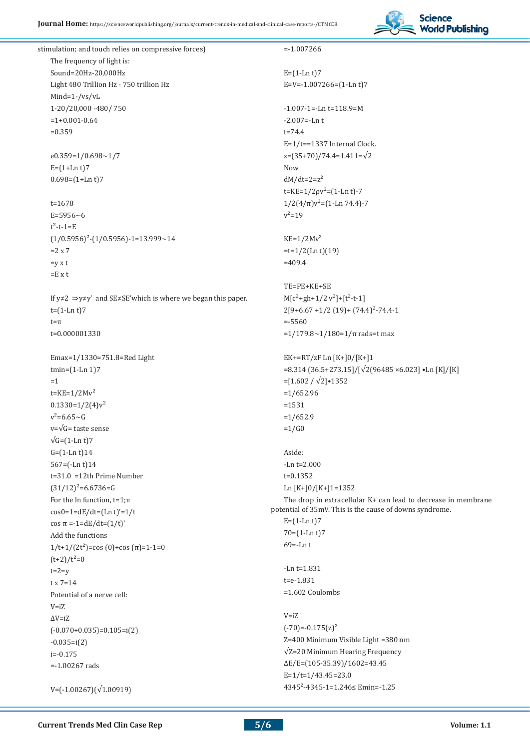

stimulation; and touch relies on compressive forces) The frequency of light is: Sound=20Hz-20,000Hz Light 480 Trillion Hz - 750 trillion Hz Mind=1-/vs/vL 1-20/20,000 -480/ 750  $=1+0.001-0.64$ =0.359  $e0.359=1/0.698\sim1/7$  $E = (1 + Ln t)7$  $0.698 = (1 + Ln t)7$  $t=1678$  $E = 5956 - 6$  $t^2-t-1=E$  $(1/0.5956)^{2}-(1/0.5956)-1=13.999-14$  $=2 \times 7$  $=$ v x t  $=$ E x t If y≠2 ⇒y≠y' and SE≠SE'which is where we began this paper.  $t=(1-Ln t)7$ t=π t=0.000001330 Emax=1/1330=751.8=Red Light tmin=(1-Ln 1)7 =1  $t=KE=1/2Mv^2$  $0.1330=1/2(4)v^2$  $v^2$ =6.65~G v=√G= taste sense  $\sqrt{G}$ = $(1$ -Ln t)7 G=(1-Ln t)14 567=(-Ln t)14 t=31.0 =12th Prime Number  $(31/12)^2$ =6.6736=G For the ln function,  $t=1:\pi$  $cos0=1=dE/dt=(Ln t)'=1/t$ cos π =-1=dE/dt=(1/t)' Add the functions  $1/t+1/(2t^2)$ =cos (0)+cos ( $\pi$ )=1-1=0  $(t+2)/t^2=0$  $t=2=v$  $t \times 7=14$ Potential of a nerve cell: V=iZ  $\Delta V = iZ$  $(-0.070+0.035)=0.105=i(2)$  $-0.035=$ i $(2)$  $i=-0.175$ =-1.00267 rads V=(-1.00267)(√1.00919) =-1.007266  $E = (1-Ln t)7$ E=V=-1.007266=(1-Ln t)7  $-1.007 - 1 = -Ln$  t=118.9=M  $-2.007 = -Ln t$ t=74.4 E=1/t==1337 Internal Clock. z=(35+70)/74.4=1.411=√2 Now  $dM/dt=2=z^2$  $t=KE=1/2\rho v^2 = (1-Ln t)-7$  $1/2(4/\pi)v^2$ =(1-Ln 74.4)-7  $v^2 = 19$  $KE=1/2Mv<sup>2</sup>$  $=t=1/2$ (Ln t)(19)  $=409.4$ TE=PE+KE+SE  $M[c^2+gh+1/2 v^2]+[t^2-t-1]$  $2[9+6.67+1/2(19)+(74.4)^{2}-74.4-1$ =-5560 = $1/179.8 \sim 1/180 = 1/\pi$  rads=t max EK+=RT/zF Ln [K+]0/[K+]1 =8.314 (36.5+273.15]/[√2(96485 ×6.023] •Ln [K]/[K] =[1.602 / √2]•1352 =1/652.96 =1531  $=1/652.9$  $=1/G0$ Aside: -Ln t=2.000 t=0.1352 Ln [K+]0/[K+]1=1352 The drop in extracellular K+ can lead to decrease in membrane potential of 35mV. This is the cause of downs syndrome.  $E=(1-Ln t)7$ 70=(1-Ln t)7 69=-Ln t -Ln t=1.831 t=e-1.831 =1.602 Coulombs V=iZ  $(-70)=-0.175(z)^2$ Z=400 Minimum Visible Light =380 nm √Z=20 Minimum Hearing Frequency ΔE/E=(105-35.39)/1602=43.45  $E=1/t=1/43.45=23.0$ 4345²-4345-1=1.246≤ Emin=-1.25

**5/6**